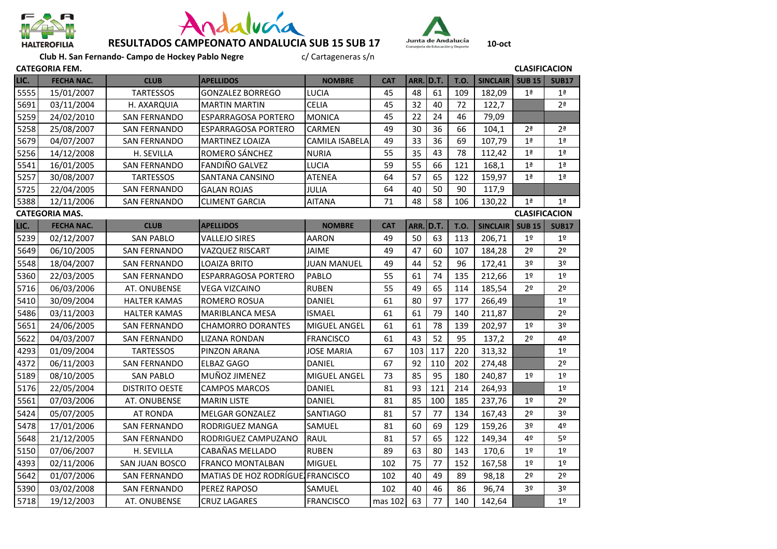





**Club H. San Fernando- Campo de Hockey Pablo Negre**<br>COBLA FEAA

|                                               | <b>CLASIFICACION</b><br><b>CATEGORIA FEM.</b> |                       |                                  |                       |            |                  |      |             |                 |                |                |
|-----------------------------------------------|-----------------------------------------------|-----------------------|----------------------------------|-----------------------|------------|------------------|------|-------------|-----------------|----------------|----------------|
| LIC.                                          | <b>FECHA NAC.</b>                             | <b>CLUB</b>           | <b>APELLIDOS</b>                 | <b>NOMBRE</b>         | <b>CAT</b> | ARR.             | D.T. | <b>T.O.</b> | <b>SINCLAIR</b> | <b>SUB 15</b>  | <b>SUB17</b>   |
| 5555                                          | 15/01/2007                                    | <b>TARTESSOS</b>      | <b>GONZALEZ BORREGO</b>          | <b>LUCIA</b>          | 45         | 48               | 61   | 109         | 182,09          | 1 <sup>a</sup> | 1 <sup>a</sup> |
| 5691                                          | 03/11/2004                                    | H. AXARQUIA           | <b>MARTIN MARTIN</b>             | <b>CELIA</b>          | 45         | 32               | 40   | 72          | 122,7           |                | 2 <sup>a</sup> |
| 5259                                          | 24/02/2010                                    | <b>SAN FERNANDO</b>   | <b>ESPARRAGOSA PORTERO</b>       | <b>MONICA</b>         | 45         | 22               | 24   | 46          | 79,09           |                |                |
| 5258                                          | 25/08/2007                                    | <b>SAN FERNANDO</b>   | <b>ESPARRAGOSA PORTERO</b>       | <b>CARMEN</b>         | 49         | 30               | 36   | 66          | 104,1           | 2 <sup>a</sup> | 2 <sup>a</sup> |
| 5679                                          | 04/07/2007                                    | <b>SAN FERNANDO</b>   | MARTINEZ LOAIZA                  | <b>CAMILA ISABELA</b> | 49         | 33               | 36   | 69          | 107,79          | 1 <sup>a</sup> | 1 <sup>a</sup> |
| 5256                                          | 14/12/2008                                    | H. SEVILLA            | ROMERO SÁNCHEZ                   | <b>NURIA</b>          | 55         | 35               | 43   | 78          | 112,42          | 1 <sup>a</sup> | 1 <sup>a</sup> |
| 5541                                          | 16/01/2005                                    | <b>SAN FERNANDO</b>   | <b>FANDIÑO GALVEZ</b>            | <b>LUCIA</b>          | 59         | 55               | 66   | 121         | 168,1           | 1 <sup>a</sup> | 1 <sup>a</sup> |
| 5257                                          | 30/08/2007                                    | <b>TARTESSOS</b>      | SANTANA CANSINO                  | <b>ATENEA</b>         | 64         | 57               | 65   | 122         | 159,97          | 1 <sup>a</sup> | 1 <sup>a</sup> |
| 5725                                          | 22/04/2005                                    | <b>SAN FERNANDO</b>   | <b>GALAN ROJAS</b>               | <b>JULIA</b>          | 64         | 40               | 50   | 90          | 117,9           |                |                |
| 5388                                          | 12/11/2006                                    | <b>SAN FERNANDO</b>   | <b>CLIMENT GARCIA</b>            | <b>AITANA</b>         | 71         | 48               | 58   | 106         | 130,22          | 1 <sup>a</sup> | 1 <sup>a</sup> |
| <b>CLASIFICACION</b><br><b>CATEGORIA MAS.</b> |                                               |                       |                                  |                       |            |                  |      |             |                 |                |                |
| LIC.                                          | <b>FECHA NAC.</b>                             | <b>CLUB</b>           | <b>APELLIDOS</b>                 | <b>NOMBRE</b>         | <b>CAT</b> | <b>ARR. D.T.</b> |      | <b>T.O.</b> | <b>SINCLAIR</b> | <b>SUB 15</b>  | <b>SUB17</b>   |
| 5239                                          | 02/12/2007                                    | <b>SAN PABLO</b>      | <b>VALLEJO SIRES</b>             | <b>AARON</b>          | 49         | 50               | 63   | 113         | 206,71          | 1 <sup>°</sup> | 1 <sup>°</sup> |
| 5649                                          | 06/10/2005                                    | <b>SAN FERNANDO</b>   | <b>VAZQUEZ RISCART</b>           | <b>JAIME</b>          | 49         | 47               | 60   | 107         | 184,28          | 2 <sup>0</sup> | 2 <sup>o</sup> |
| 5548                                          | 18/04/2007                                    | <b>SAN FERNANDO</b>   | <b>LOAIZA BRITO</b>              | <b>JUAN MANUEL</b>    | 49         | 44               | 52   | 96          | 172,41          | 3º             | 3 <sup>o</sup> |
| 5360                                          | 22/03/2005                                    | <b>SAN FERNANDO</b>   | <b>ESPARRAGOSA PORTERO</b>       | PABLO                 | 55         | 61               | 74   | 135         | 212,66          | 1 <sup>°</sup> | 1 <sup>°</sup> |
| 5716                                          | 06/03/2006                                    | AT. ONUBENSE          | <b>VEGA VIZCAINO</b>             | <b>RUBEN</b>          | 55         | 49               | 65   | 114         | 185,54          | 20             | 2 <sup>0</sup> |
| 5410                                          | 30/09/2004                                    | <b>HALTER KAMAS</b>   | ROMERO ROSUA                     | DANIEL                | 61         | 80               | 97   | 177         | 266,49          |                | 1 <sup>°</sup> |
| 5486                                          | 03/11/2003                                    | <b>HALTER KAMAS</b>   | <b>MARIBLANCA MESA</b>           | <b>ISMAEL</b>         | 61         | 61               | 79   | 140         | 211,87          |                | 2 <sup>0</sup> |
| 5651                                          | 24/06/2005                                    | SAN FERNANDO          | <b>CHAMORRO DORANTES</b>         | <b>MIGUEL ANGEL</b>   | 61         | 61               | 78   | 139         | 202,97          | 1 <sup>°</sup> | 3 <sup>o</sup> |
| 5622                                          | 04/03/2007                                    | <b>SAN FERNANDO</b>   | <b>LIZANA RONDAN</b>             | <b>FRANCISCO</b>      | 61         | 43               | 52   | 95          | 137,2           | 2 <sup>0</sup> | 4º             |
| 4293                                          | 01/09/2004                                    | <b>TARTESSOS</b>      | PINZON ARANA                     | <b>JOSE MARIA</b>     | 67         | 103              | 117  | 220         | 313,32          |                | 1 <sup>0</sup> |
| 4372                                          | 06/11/2003                                    | <b>SAN FERNANDO</b>   | <b>ELBAZ GAGO</b>                | <b>DANIEL</b>         | 67         | 92               | 110  | 202         | 274,48          |                | 2 <sup>o</sup> |
| 5189                                          | 08/10/2005                                    | <b>SAN PABLO</b>      | MUÑOZ JIMENEZ                    | MIGUEL ANGEL          | 73         | 85               | 95   | 180         | 240,87          | 1 <sup>°</sup> | 1 <sup>°</sup> |
| 5176                                          | 22/05/2004                                    | <b>DISTRITO OESTE</b> | <b>CAMPOS MARCOS</b>             | DANIEL                | 81         | 93               | 121  | 214         | 264,93          |                | 1 <sup>°</sup> |
| 5561                                          | 07/03/2006                                    | AT. ONUBENSE          | <b>MARIN LISTE</b>               | DANIEL                | 81         | 85               | 100  | 185         | 237,76          | 1 <sup>°</sup> | 2 <sup>o</sup> |
| 5424                                          | 05/07/2005                                    | <b>AT RONDA</b>       | <b>MELGAR GONZALEZ</b>           | SANTIAGO              | 81         | 57               | 77   | 134         | 167,43          | 2º             | 3 <sup>o</sup> |
| 5478                                          | 17/01/2006                                    | <b>SAN FERNANDO</b>   | RODRIGUEZ MANGA                  | SAMUEL                | 81         | 60               | 69   | 129         | 159,26          | 3º             | 4º             |
| 5648                                          | 21/12/2005                                    | <b>SAN FERNANDO</b>   | RODRIGUEZ CAMPUZANO              | <b>RAUL</b>           | 81         | 57               | 65   | 122         | 149,34          | 4º             | 5º             |
| 5150                                          | 07/06/2007                                    | H. SEVILLA            | CABAÑAS MELLADO                  | <b>RUBEN</b>          | 89         | 63               | 80   | 143         | 170,6           | 1 <sup>°</sup> | 1 <sup>°</sup> |
| 4393                                          | 02/11/2006                                    | SAN JUAN BOSCO        | <b>FRANCO MONTALBAN</b>          | <b>MIGUEL</b>         | 102        | 75               | 77   | 152         | 167,58          | 1 <sup>°</sup> | 1 <sup>°</sup> |
| 5642                                          | 01/07/2006                                    | <b>SAN FERNANDO</b>   | MATIAS DE HOZ RODRÍGUE FRANCISCO |                       | 102        | 40               | 49   | 89          | 98,18           | 2 <sup>o</sup> | 2 <sup>o</sup> |
| 5390                                          | 03/02/2008                                    | <b>SAN FERNANDO</b>   | <b>PEREZ RAPOSO</b>              | SAMUEL                | 102        | 40               | 46   | 86          | 96,74           | 3º             | 3 <sup>o</sup> |
| 5718                                          | 19/12/2003                                    | AT. ONUBENSE          | <b>CRUZ LAGARES</b>              | <b>FRANCISCO</b>      | mas 102    | 63               | 77   | 140         | 142.64          |                | 1 <sup>°</sup> |